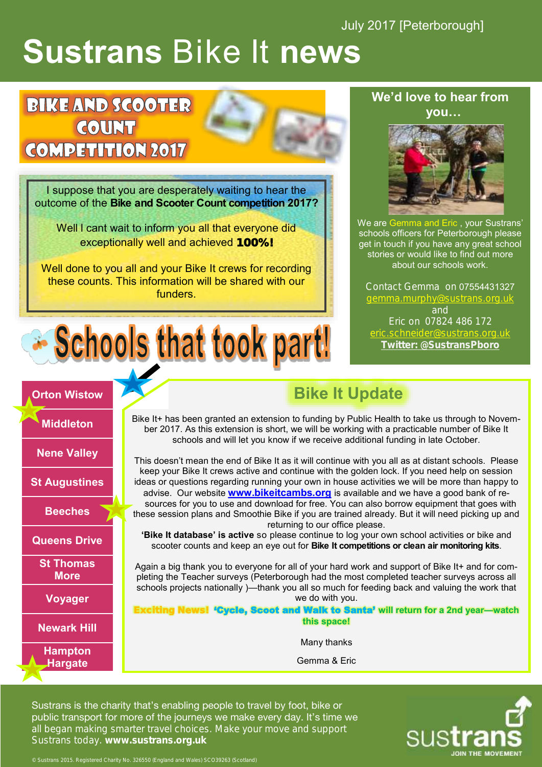July 2017 [Peterborough]

# **Sustrans** Bike It **news**

## **BIKE AND SCOOTER COUNT COMPETITION 2017**

**Orton Wistow**

**Middleton**

**Nene Valley**

**St Augustines**

**Beeches**

**Queens Drive**

**St Thomas More**

**Voyager**

**Newark Hill**

**Hampton Hargate**

I suppose that you are desperately waiting to hear the outcome of the **Bike and Scooter Count competition 2017?**

Well I cant wait to inform you all that everyone did exceptionally well and achieved 100%!

Well done to you all and your Bike It crews for recording these counts. This information will be shared with our funders.



#### **We'd love to hear from you…**



We are Gemma and Eric , your Sustrans' schools officers for Peterborough please get in touch if you have any great school stories or would like to find out more about our schools work.

Contact Gemma on 07554431327 [gemma.murphy@sustrans.org.uk](mailto:gemma.murphy@sustrans.org.uk) and Eric on 07824 486 172 eric.schneider[@sustrans.org.uk](mailto:maya.stratton-brook@sustrans.org.uk) **Twitter: @SustransPboro**

## **Bike It Update**

Bike It+ has been granted an extension to funding by Public Health to take us through to November 2017. As this extension is short, we will be working with a practicable number of Bike It schools and will let you know if we receive additional funding in late October.

This doesn't mean the end of Bike It as it will continue with you all as at distant schools. Please keep your Bike It crews active and continue with the golden lock. If you need help on session ideas or questions regarding running your own in house activities we will be more than happy to advise. Our website **[www.bikeitcambs.org](http://www.bikeitcambs.org)** is available and we have a good bank of resources for you to use and download for free. You can also borrow equipment that goes with these session plans and Smoothie Bike if you are trained already. But it will need picking up and returning to our office please.

**'Bike It database' is active** so please continue to log your own school activities or bike and scooter counts and keep an eye out for **Bike It competitions or clean air monitoring kits**.

Again a big thank you to everyone for all of your hard work and support of Bike It+ and for completing the Teacher surveys (Peterborough had the most completed teacher surveys across all schools projects nationally )—thank you all so much for feeding back and valuing the work that we do with you.

**Example 1 Welk to Santa' will return for a 2nd year—watch this space!**

Many thanks

Gemma & Eric

Sustrans is the charity that's enabling people to travel by foot, bike or public transport for more of the journeys we make every day. It's time we all began making smarter travel choices. Make your move and support Sustrans today. **www.sustrans.org.uk**

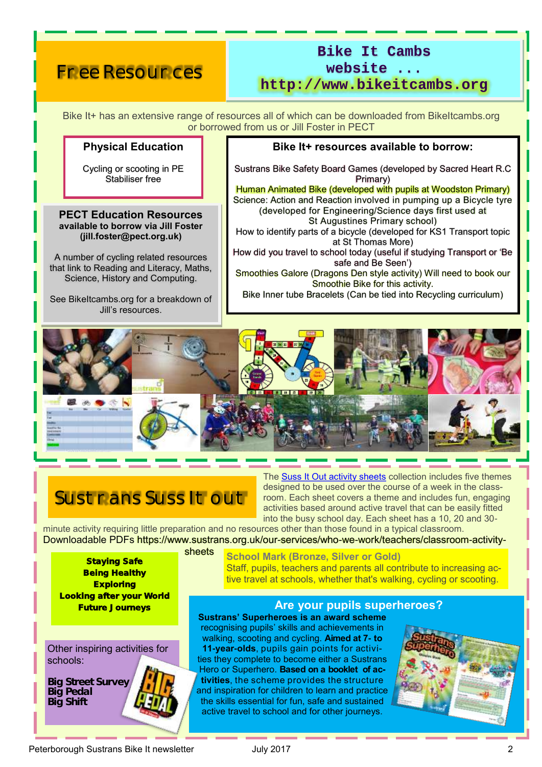## Free Resources

## **Bike It Cambs website ...**

**http://www.bikeitcambs.org**

Bike It+ has an extensive range of resources all of which can be downloaded from BikeItcambs.org or borrowed from us or Jill Foster in PECT

#### **Physical Education**

Cycling or scooting in PE Stabiliser free

**PECT Education Resources available to borrow via Jill Foster (jill.foster@pect.org.uk)**

A number of cycling related resources that link to Reading and Literacy, Maths, Science, History and Computing.

See BikeItcambs.org for a breakdown of Jill's resources.

#### **Bike It+ resources available to borrow:**

Sustrans Bike Safety Board Games (developed by Sacred Heart R.C Primary)

Human Animated Bike (developed with pupils at Woodston Primary) Science: Action and Reaction involved in pumping up a Bicycle tyre (developed for Engineering/Science days first used at St Augustines Primary school)

How to identify parts of a bicycle (developed for KS1 Transport topic at St Thomas More)

How did you travel to school today (useful if studying Transport or 'Be safe and Be Seen')

Smoothies Galore (Dragons Den style activity) Will need to book our Smoothie Bike for this activity.

Bike Inner tube Bracelets (Can be tied into Recycling curriculum)



## Sustrans Suss It out

The [Suss It Out activity sheets](https://www.sustrans.org.uk/sites/default/files/images/files/schools/SussItOut/Suss_It_Out_FullSet.pdf) collection includes five themes designed to be used over the course of a week in the classroom. Each sheet covers a theme and includes fun, engaging activities based around active travel that can be easily fitted into the busy school day. Each sheet has a 10, 20 and 30-

minute activity requiring little preparation and no resources other than those found in a typical classroom. Downloadable PDFs https://www.sustrans.org.uk/our-services/who-we-work/teachers/classroom-activitysheets

Staying Safe Being Healthy **Exploring** Looking after your World Future Journeys

Other inspiring activities for schools:

**Big Street Survey Big Pedal Big Shift** 

**School Mark (Bronze, Silver or Gold)** Staff, pupils, teachers and parents all contribute to increasing active travel at schools, whether that's walking, cycling or scooting.

#### **Are your pupils superheroes?**

**Sustrans' Superheroes is an award scheme**  recognising pupils' skills and achievements in walking, scooting and cycling. **Aimed at 7- to 11-year-olds**, pupils gain points for activities they complete to become either a Sustrans Hero or Superhero. **Based on a booklet of activities**, the scheme provides the structure and inspiration for children to learn and practice the skills essential for fun, safe and sustained active travel to school and for other journeys.

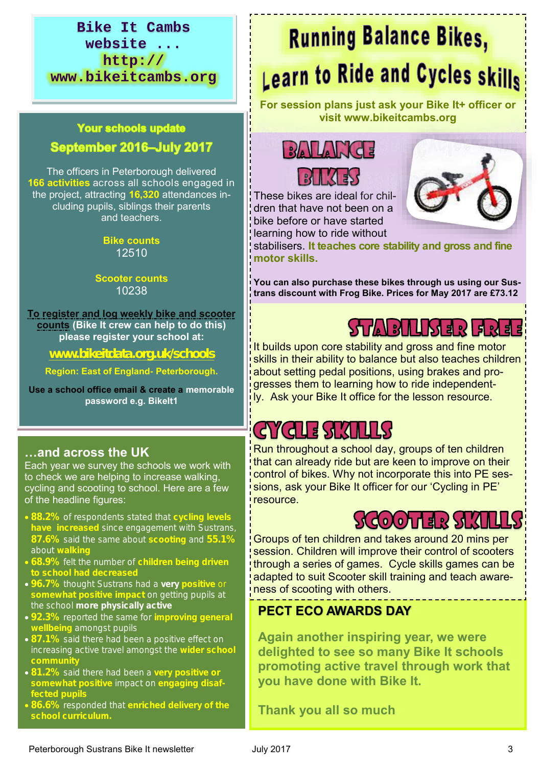### **Bike It Cambs website ... http:// www.bikeitcambs.org**

#### **Your schools update** September 2016-July 2017

The officers in Peterborough delivered **166 activities** across all schools engaged in the project, attracting **16,320** attendances including pupils, siblings their parents and teachers.

> **Bike counts**  12510

#### **Scooter counts** 10238

**To register and log weekly bike and scooter counts (Bike It crew can help to do this) please register your school at:**

**[www.bikeitdata.org.uk/schools](http://www.bikeitdata.org.uk/schools)**

**Region: East of England- Peterborough.** 

**Use a school office email & create a memorable password e.g. BikeIt1**

## **…and across the UK**

Each year we survey the schools we work with to check we are helping to increase walking, cycling and scooting to school. Here are a few of the headline figures:

- **88.2%** of respondents stated that **cycling levels have increased** since engagement with Sustrans, **87.6%** said the same about **scooting** and **55.1%**  about **walking**
- **68.9%** felt the number of **children being driven**
- **96.7%** thought Sustrans had a **very positive** or **somewhat positive impact** on getting pupils at the school **more physically active**
- **92.3%** reported the same for **improving general wellbeing** amongst pupils
- **87.1%** said there had been a positive effect on increasing active travel amongst the **wider school**
- **81.2%** said there had been a **very positive or somewhat positive** impact on **engaging disaffected pupils**
- **86.6%** responded that **enriched delivery of the**

# **Running Balance Bikes, Learn to Ride and Cycles skills**

**For session plans just ask your Bike It+ officer or visit www.bikeitcambs.org**





These bikes are ideal for children that have not been on a bike before or have started learning how to ride without



stabilisers. **It teaches core stability and gross and fine motor skills.** 

**You can also purchase these bikes through us using our Sustrans discount with Frog Bike. Prices for May 2017 are £73.12** 

# ST / A | B | L | S | E | R | E | R | E | E

It builds upon core stability and gross and fine motor skills in their ability to balance but also teaches children about setting pedal positions, using brakes and progresses them to learning how to ride independently. Ask your Bike It office for the lesson resource.

# GYGLE SKILLS

Run throughout a school day, groups of ten children that can already ride but are keen to improve on their control of bikes. Why not incorporate this into PE sessions, ask your Bike It officer for our 'Cycling in PE' resource.

## $SO(0)$   $13.55$   $SU(1)$

Groups of ten children and takes around 20 mins per session. Children will improve their control of scooters through a series of games. Cycle skills games can be adapted to suit Scooter skill training and teach awareness of scooting with others.

## **PECT ECO AWARDS DAY**

**Again another inspiring year, we were delighted to see so many Bike It schools promoting active travel through work that you have done with Bike It.** 

**Thank you all so much**